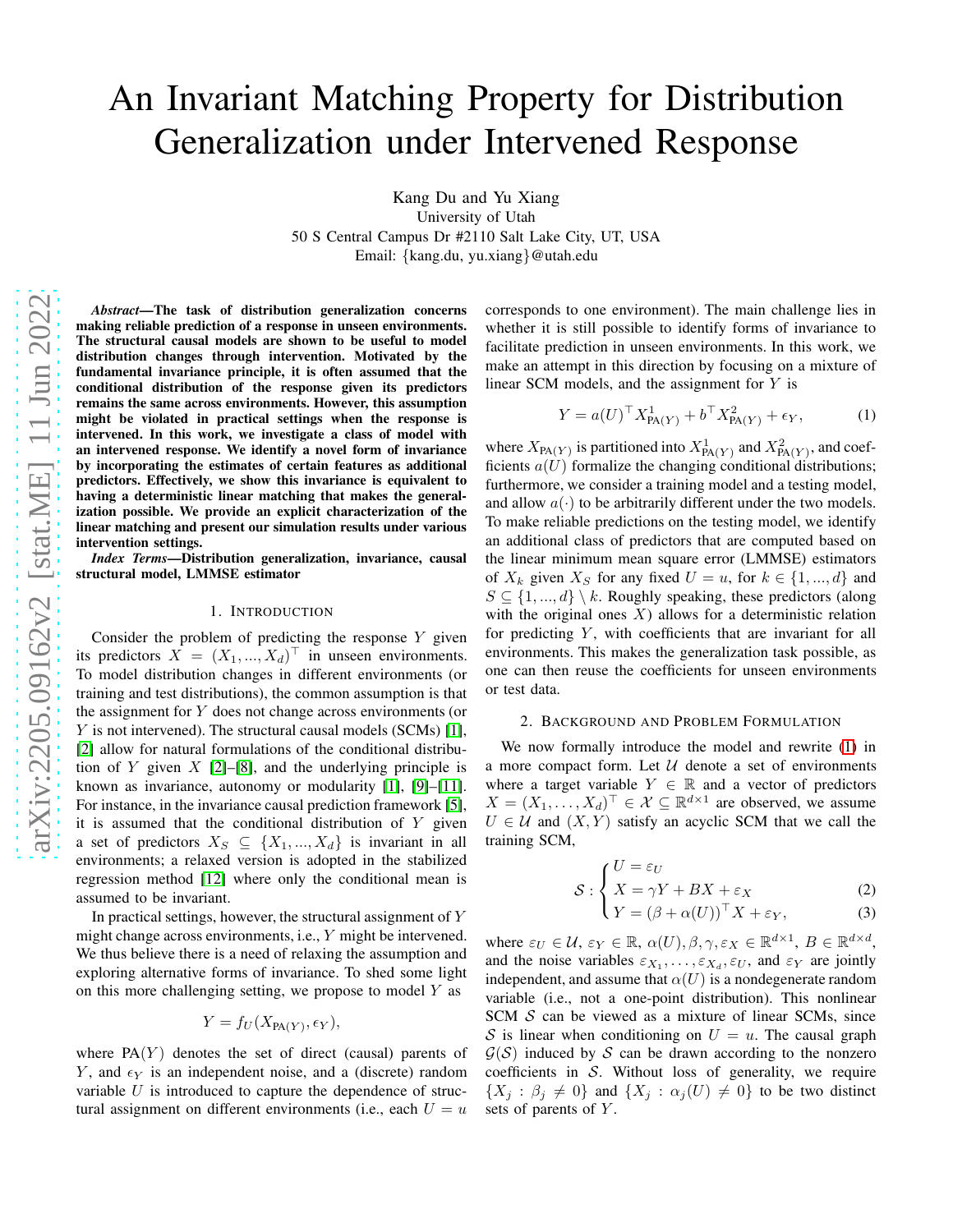# An Invariant Matching Property for Distribution Generalization under Intervened Response

Kang Du and Yu Xiang University of Utah 50 S Central Campus Dr #2110 Salt Lake City, UT, USA Email: {kang.du, yu.xiang}@utah.edu

*Abstract*—The task of distribution generalization concerns making reliable prediction of a response in unseen environments. The structural causal models are shown to be useful to model distribution changes through intervention. Motivated by the fundamental invariance principle, it is often assumed that the conditional distribution of the response given its predictors remains the same across environments. However, this assumption might be violated in practical settings when the response is intervened. In this work, we investigate a class of model with an intervened response. We identify a novel form of invariance by incorporating the estimates of certain features as additional predictors. Effectively, we show this invariance is equivalent to having a deterministic linear matching that makes the generalization possible. We provide an explicit characterization of the linear matching and present our simulation results under various intervention settings.

*Index Terms*—Distribution generalization, invariance, causal structural model, LMMSE estimator

#### 1. INTRODUCTION

Consider the problem of predicting the response  $Y$  given its predictors  $X = (X_1, ..., X_d)^\top$  in unseen environments. To model distribution changes in different environments (or training and test distributions), the common assumption is that the assignment for  $Y$  does not change across environments (or Y is not intervened). The structural causal models (SCMs) [\[1\]](#page-4-0), [\[2\]](#page-4-1) allow for natural formulations of the conditional distribution of Y given  $X$  [\[2\]](#page-4-1)–[\[8\]](#page-4-2), and the underlying principle is known as invariance, autonomy or modularity [\[1\]](#page-4-0), [\[9\]](#page-4-3)–[\[11\]](#page-4-4). For instance, in the invariance causal prediction framework [\[5\]](#page-4-5), it is assumed that the conditional distribution of  $Y$  given a set of predictors  $X_S \subseteq \{X_1, ..., X_d\}$  is invariant in all environments; a relaxed version is adopted in the stabilized regression method [\[12\]](#page-4-6) where only the conditional mean is assumed to be invariant.

In practical settings, however, the structural assignment of Y might change across environments, i.e., Y might be intervened. We thus believe there is a need of relaxing the assumption and exploring alternative forms of invariance. To shed some light on this more challenging setting, we propose to model  $Y$  as

$$
Y = f_U(X_{\text{PA}(Y)}, \epsilon_Y),
$$

where  $PA(Y)$  denotes the set of direct (causal) parents of Y, and  $\epsilon_Y$  is an independent noise, and a (discrete) random variable  $U$  is introduced to capture the dependence of structural assignment on different environments (i.e., each  $U = u$  corresponds to one environment). The main challenge lies in whether it is still possible to identify forms of invariance to facilitate prediction in unseen environments. In this work, we make an attempt in this direction by focusing on a mixture of linear SCM models, and the assignment for Y is

<span id="page-0-0"></span>
$$
Y = a(U)^{\top} X_{\text{PA}(Y)}^1 + b^{\top} X_{\text{PA}(Y)}^2 + \epsilon_Y, \tag{1}
$$

where  $X_{\text{PA}(Y)}$  is partitioned into  $X_{\text{PA}(Y)}^1$  and  $X_{\text{PA}(Y)}^2$ , and coefficients  $a(U)$  formalize the changing conditional distributions; furthermore, we consider a training model and a testing model, and allow  $a(\cdot)$  to be arbitrarily different under the two models. To make reliable predictions on the testing model, we identify an additional class of predictors that are computed based on the linear minimum mean square error (LMMSE) estimators of  $X_k$  given  $X_S$  for any fixed  $U = u$ , for  $k \in \{1, ..., d\}$  and  $S \subseteq \{1, ..., d\} \setminus k$ . Roughly speaking, these predictors (along with the original ones  $X$ ) allows for a deterministic relation for predicting  $Y$ , with coefficients that are invariant for all environments. This makes the generalization task possible, as one can then reuse the coefficients for unseen environments or test data.

### 2. BACKGROUND AND PROBLEM FORMULATION

We now formally introduce the model and rewrite [\(1\)](#page-0-0) in a more compact form. Let  $U$  denote a set of environments where a target variable  $Y \in \mathbb{R}$  and a vector of predictors  $X = (X_1, \ldots, X_d)^\top \in \mathcal{X} \subseteq \mathbb{R}^{d \times 1}$  are observed, we assume  $U \in \mathcal{U}$  and  $(X, Y)$  satisfy an acyclic SCM that we call the training SCM,

$$
S: \begin{cases} U = \varepsilon_U \\ X = \gamma Y + BX + \varepsilon_X \\ Y = (\beta + \alpha(U))^{\top} X + \varepsilon_Y, \end{cases}
$$
 (2)

$$
(Y = (\beta + \alpha(U))^{\top} X + \varepsilon_Y, \tag{3}
$$

<span id="page-0-1"></span>where  $\varepsilon_U \in \mathcal{U}$ ,  $\varepsilon_Y \in \mathbb{R}$ ,  $\alpha(U)$ ,  $\beta$ ,  $\gamma$ ,  $\varepsilon_X \in \mathbb{R}^{d \times 1}$ ,  $B \in \mathbb{R}^{d \times d}$ , and the noise variables  $\varepsilon_{X_1}, \dots, \varepsilon_{X_d}, \varepsilon_U$ , and  $\varepsilon_Y$  are jointly independent, and assume that  $\alpha(U)$  is a nondegenerate random variable (i.e., not a one-point distribution). This nonlinear SCM S can be viewed as a mixture of linear SCMs, since S is linear when conditioning on  $U = u$ . The causal graph  $\mathcal{G}(\mathcal{S})$  induced by S can be drawn according to the nonzero coefficients in  $S$ . Without loss of generality, we require  $\{X_i : \beta_i \neq 0\}$  and  $\{X_i : \alpha_i(U) \neq 0\}$  to be two distinct sets of parents of Y.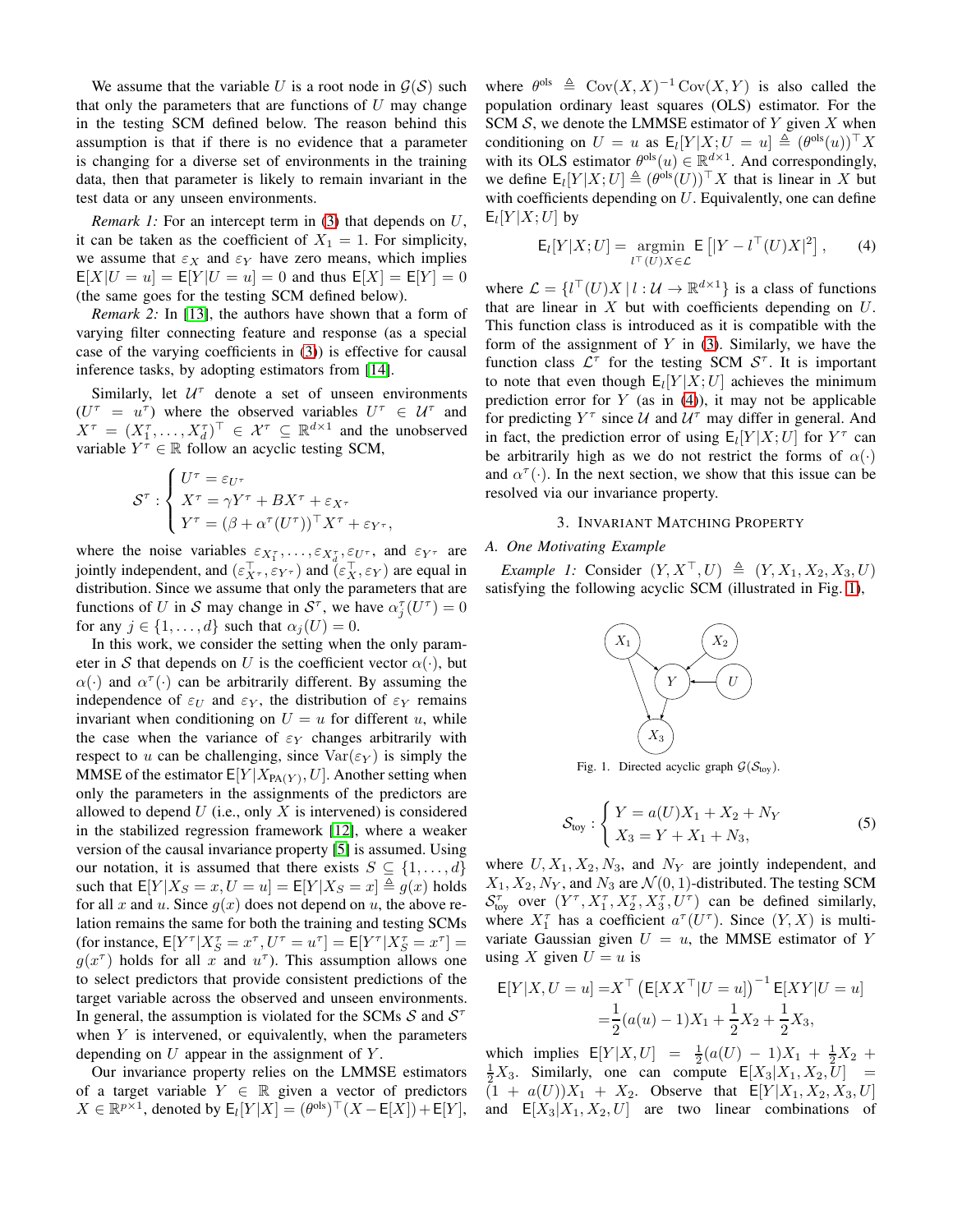We assume that the variable U is a root node in  $\mathcal{G}(\mathcal{S})$  such that only the parameters that are functions of  $U$  may change in the testing SCM defined below. The reason behind this assumption is that if there is no evidence that a parameter is changing for a diverse set of environments in the training data, then that parameter is likely to remain invariant in the test data or any unseen environments.

*Remark 1:* For an intercept term in [\(3\)](#page-0-1) that depends on U, it can be taken as the coefficient of  $X_1 = 1$ . For simplicity, we assume that  $\varepsilon_X$  and  $\varepsilon_Y$  have zero means, which implies  $E[X|U = u] = E[Y|U = u] = 0$  and thus  $E[X] = E[Y] = 0$ (the same goes for the testing SCM defined below).

*Remark 2:* In [\[13\]](#page-4-7), the authors have shown that a form of varying filter connecting feature and response (as a special case of the varying coefficients in [\(3\)](#page-0-1)) is effective for causal inference tasks, by adopting estimators from [\[14\]](#page-4-8).

Similarly, let  $U^{\tau}$  denote a set of unseen environments  $(U^{\tau} = u^{\tau})$  where the observed variables  $U^{\tau} \in \mathcal{U}^{\tau}$  and  $X^{\tau} = (X_1^{\tau}, \dots, X_d^{\tau})^{\top} \in \mathcal{X}^{\tau} \subseteq \mathbb{R}^{d \times 1}$  and the unobserved variable  $Y^{\dagger} \in \mathbb{R}$  follow an acyclic testing SCM,

$$
\mathcal{S}^{\tau} : \begin{cases} U^{\tau} = \varepsilon_{U^{\tau}} \\ X^{\tau} = \gamma Y^{\tau} + BX^{\tau} + \varepsilon_{X^{\tau}} \\ Y^{\tau} = (\beta + \alpha^{\tau}(U^{\tau}))^{\top} X^{\tau} + \varepsilon_{Y^{\tau}}, \end{cases}
$$

where the noise variables  $\varepsilon_{X_1^{\tau}}, \ldots, \varepsilon_{X_d^{\tau}}, \varepsilon_{U^{\tau}}$ , and  $\varepsilon_{Y^{\tau}}$  are jointly independent, and  $(\varepsilon_{X^{\tau}}^{\top}, \varepsilon_{Y^{\tau}})$  and  $(\varepsilon_{X}^{\top}, \varepsilon_{Y})$  are equal in distribution. Since we assume that only the parameters that are functions of U in S may change in  $S^{\tau}$ , we have  $\alpha_j^{\tau}(U^{\tau}) = 0$ for any  $j \in \{1, ..., d\}$  such that  $\alpha_i(U) = 0$ .

In this work, we consider the setting when the only parameter in S that depends on U is the coefficient vector  $\alpha(\cdot)$ , but  $\alpha(\cdot)$  and  $\alpha^{\tau}(\cdot)$  can be arbitrarily different. By assuming the independence of  $\varepsilon_U$  and  $\varepsilon_Y$ , the distribution of  $\varepsilon_Y$  remains invariant when conditioning on  $U = u$  for different u, while the case when the variance of  $\varepsilon_Y$  changes arbitrarily with respect to u can be challenging, since  $\text{Var}(\varepsilon_Y)$  is simply the MMSE of the estimator  $E[Y|X_{PA(Y)}, U]$ . Another setting when only the parameters in the assignments of the predictors are allowed to depend  $U$  (i.e., only  $X$  is intervened) is considered in the stabilized regression framework [\[12\]](#page-4-6), where a weaker version of the causal invariance property [\[5\]](#page-4-5) is assumed. Using our notation, it is assumed that there exists  $S \subseteq \{1, \ldots, d\}$ such that  $E[Y|X_S = x, U = u] = E[Y|X_S = x] \triangleq g(x)$  holds for all x and u. Since  $g(x)$  does not depend on u, the above relation remains the same for both the training and testing SCMs (for instance,  $E[Y^{\tau}|X_S^{\tau} = x^{\tau}, U^{\tau} = u^{\tau}] = E[Y^{\tau}|X_S^{\tau} = x^{\tau}] =$  $g(x^{\tau})$  holds for all x and  $u^{\tau}$ ). This assumption allows one to select predictors that provide consistent predictions of the target variable across the observed and unseen environments. In general, the assumption is violated for the SCMs  $S$  and  $S^{\dagger}$ when  $Y$  is intervened, or equivalently, when the parameters depending on  $U$  appear in the assignment of  $Y$ .

Our invariance property relies on the LMMSE estimators of a target variable  $Y \in \mathbb{R}$  given a vector of predictors  $X \in \mathbb{R}^{p \times 1}$ , denoted by  $\mathsf{E}_{l}[Y|X] = (\theta^{\text{ols}})^{\top} (X - \mathsf{E}[X]) + \mathsf{E}[Y]$ ,

where  $\theta^{\text{ols}} \triangleq \text{Cov}(X, X)^{-1} \text{Cov}(X, Y)$  is also called the population ordinary least squares (OLS) estimator. For the SCM  $S$ , we denote the LMMSE estimator of Y given X when conditioning on  $U = u$  as  $\mathsf{E}_{l}[Y|X; U = u] \triangleq (\theta^{\text{ols}}(u))^{\top} X$ with its OLS estimator  $\theta^{ols}(u) \in \mathbb{R}^{d \times 1}$ . And correspondingly, we define  $E_l[Y|X;U] \triangleq (\theta^{\text{ols}}(U))^{\top} X$  that is linear in X but with coefficients depending on  $U$ . Equivalently, one can define  $E_l[Y|X;U]$  by

<span id="page-1-0"></span>
$$
\mathsf{E}_{l}[Y|X;U] = \underset{l^{\top}(U)}{\operatorname{argmin}} \mathsf{E}\left[|Y - l^{\top}(U)X|^{2}\right],\qquad(4)
$$

where  $\mathcal{L} = \{ l^{\top}(U)X \mid l : \mathcal{U} \to \mathbb{R}^{d \times 1} \}$  is a class of functions that are linear in  $X$  but with coefficients depending on  $U$ . This function class is introduced as it is compatible with the form of the assignment of  $Y$  in [\(3\)](#page-0-1). Similarly, we have the function class  $\mathcal{L}^{\tau}$  for the testing SCM  $\mathcal{S}^{\tau}$ . It is important to note that even though  $E_l[Y|X;U]$  achieves the minimum prediction error for  $Y$  (as in [\(4\)](#page-1-0)), it may not be applicable for predicting  $Y^{\tau}$  since U and  $U^{\tau}$  may differ in general. And in fact, the prediction error of using  $E_l[Y|X;U]$  for  $Y^{\tau}$  can be arbitrarily high as we do not restrict the forms of  $\alpha(\cdot)$ and  $\alpha^{\tau}(\cdot)$ . In the next section, we show that this issue can be resolved via our invariance property.

## 3. INVARIANT MATCHING PROPERTY

## <span id="page-1-2"></span><span id="page-1-1"></span>*A. One Motivating Example*

*Example 1:* Consider  $(Y, X^{\top}, U) \triangleq (Y, X_1, X_2, X_3, U)$ satisfying the following acyclic SCM (illustrated in Fig. [1\)](#page-1-1),



Fig. 1. Directed acyclic graph  $G(S_{toy})$ .

$$
S_{\text{toy}} : \begin{cases} Y = a(U)X_1 + X_2 + N_Y \\ X_3 = Y + X_1 + N_3, \end{cases}
$$
 (5)

where  $U, X_1, X_2, N_3$ , and  $N_Y$  are jointly independent, and  $X_1, X_2, N_Y$ , and  $N_3$  are  $\mathcal{N}(0, 1)$ -distributed. The testing SCM  $S_{\text{toy}}^{\tau}$  over  $(Y^{\tau}, X_1^{\tau}, X_2^{\tau}, X_3^{\tau}, U^{\tau})$  can be defined similarly, where  $X_1^{\tau}$  has a coefficient  $a^{\tau}(U^{\tau})$ . Since  $(Y, X)$  is multivariate Gaussian given  $U = u$ , the MMSE estimator of Y using X given  $U = u$  is

$$
E[Y|X, U = u] = X^{\top} (E[XX^{\top} | U = u])^{-1} E[XY | U = u]
$$
  
=  $\frac{1}{2} (a(u) - 1)X_1 + \frac{1}{2}X_2 + \frac{1}{2}X_3$ ,

which implies  $E[Y|X,U] = \frac{1}{2}(a(U) - 1)X_1 + \frac{1}{2}X_2 +$  $\frac{1}{2}X_3$ . Similarly, one can compute  $E[X_3|X_1, X_2, U] =$  $(1 + a(U))X_1 + X_2$ . Observe that  $E[Y|X_1, X_2, X_3, U]$ and  $E[X_3|X_1, X_2, U]$  are two linear combinations of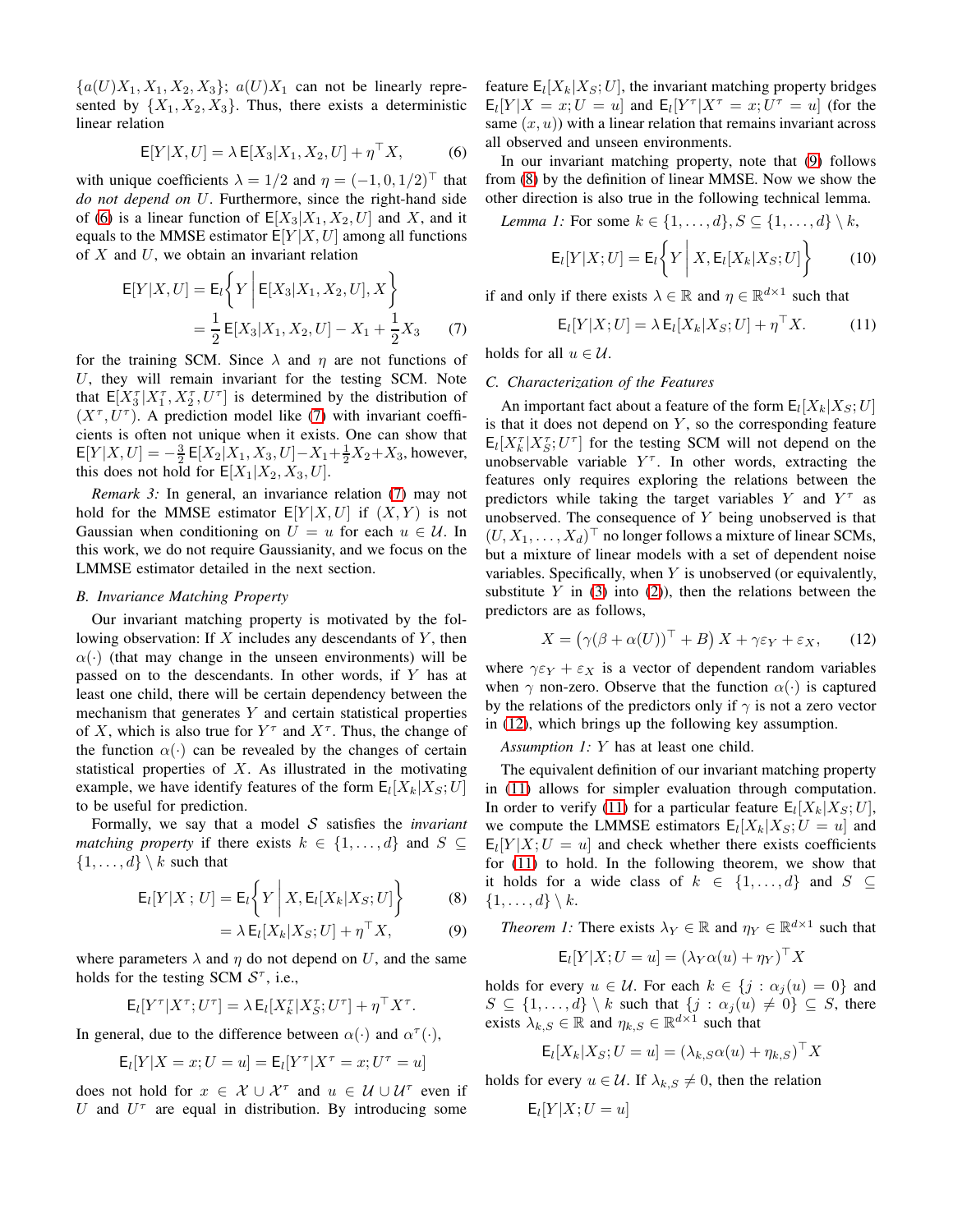${a(U)X_1, X_1, X_2, X_3}; a(U)X_1$  can not be linearly represented by  $\{X_1, X_2, X_3\}$ . Thus, there exists a deterministic linear relation

$$
\mathsf{E}[Y|X,U] = \lambda \mathsf{E}[X_3|X_1, X_2, U] + \eta^\top X,\tag{6}
$$

with unique coefficients  $\lambda = 1/2$  and  $\eta = (-1, 0, 1/2)^\top$  that *do not depend on* U. Furthermore, since the right-hand side of [\(6\)](#page-2-0) is a linear function of  $E[X_3|X_1, X_2, U]$  and X, and it equals to the MMSE estimator  $E[Y|X, U]$  among all functions of  $X$  and  $U$ , we obtain an invariant relation

$$
E[Y|X,U] = E_{l} \left\{ Y \mid E[X_{3}|X_{1}, X_{2}, U], X \right\}
$$
  
=  $\frac{1}{2} E[X_{3}|X_{1}, X_{2}, U] - X_{1} + \frac{1}{2}X_{3}$  (7)

for the training SCM. Since  $\lambda$  and  $\eta$  are not functions of  $U$ , they will remain invariant for the testing SCM. Note that  $E[X_3^T | X_1^T, X_2^T, U^T]$  is determined by the distribution of  $(X^{\tau}, U^{\tau})$ . A prediction model like [\(7\)](#page-2-1) with invariant coefficients is often not unique when it exists. One can show that  $E[Y|X,U] = -\frac{3}{2} E[X_2|X_1, X_3, U] - X_1 + \frac{1}{2}X_2 + X_3$ , however, this does not hold for  $E[X_1|X_2, X_3, U]$ .

*Remark 3:* In general, an invariance relation [\(7\)](#page-2-1) may not hold for the MMSE estimator  $E[Y|X, U]$  if  $(X, Y)$  is not Gaussian when conditioning on  $U = u$  for each  $u \in U$ . In this work, we do not require Gaussianity, and we focus on the LMMSE estimator detailed in the next section.

## *B. Invariance Matching Property*

Our invariant matching property is motivated by the following observation: If  $X$  includes any descendants of  $Y$ , then  $\alpha(\cdot)$  (that may change in the unseen environments) will be passed on to the descendants. In other words, if Y has at least one child, there will be certain dependency between the mechanism that generates  $Y$  and certain statistical properties of X, which is also true for  $Y^{\tau}$  and  $X^{\tau}$ . Thus, the change of the function  $\alpha(\cdot)$  can be revealed by the changes of certain statistical properties of  $X$ . As illustrated in the motivating example, we have identify features of the form  $E_l[X_k|X_S;U]$ to be useful for prediction.

Formally, we say that a model S satisfies the *invariant matching property* if there exists  $k \in \{1, ..., d\}$  and  $S \subseteq$  $\{1, \ldots, d\} \setminus k$  such that

$$
\mathsf{E}_{l}[Y|X;U] = \mathsf{E}_{l}\bigg\{Y\bigg|X, \mathsf{E}_{l}[X_{k}|X_{S};U]\bigg\} \tag{8}
$$

$$
= \lambda \mathsf{E}_{l}[X_{k}|X_{S};U] + \eta^{\top} X, \tag{9}
$$

where parameters  $\lambda$  and  $\eta$  do not depend on U, and the same holds for the testing SCM  $S^{\tau}$ , i.e.,

$$
\mathsf{E}_{l}[Y^{\tau}|X^{\tau};U^{\tau}]=\lambda\,\mathsf{E}_{l}[X^{\tau}_{k}|X^{\tau}_{S};U^{\tau}]+\eta^{\top}X^{\tau}.
$$

In general, due to the difference between  $\alpha(\cdot)$  and  $\alpha^{\tau}(\cdot)$ ,

$$
\mathsf{E}_l[Y|X=x;U=u] = \mathsf{E}_l[Y^\tau|X^\tau=x;U^\tau=u]
$$

does not hold for  $x \in \mathcal{X} \cup \mathcal{X}^{\tau}$  and  $u \in \mathcal{U} \cup \mathcal{U}^{\tau}$  even if U and  $U^{\tau}$  are equal in distribution. By introducing some

feature  $E_l[X_k|X_S;U]$ , the invariant matching property bridges  $E_l[Y|X=x;U=u]$  and  $E_l[Y^{\tau}|X^{\tau}=x;U^{\tau}=u]$  (for the same  $(x, u)$ ) with a linear relation that remains invariant across all observed and unseen environments.

<span id="page-2-0"></span>In our invariant matching property, note that [\(9\)](#page-2-2) follows from [\(8\)](#page-2-3) by the definition of linear MMSE. Now we show the other direction is also true in the following technical lemma.

*Lemma 1:* For some  $k \in \{1, \ldots, d\}, S \subseteq \{1, \ldots, d\} \setminus k$ ,

<span id="page-2-7"></span>
$$
\mathsf{E}_{l}[Y|X;U] = \mathsf{E}_{l}\bigg\{Y\bigg|X,\mathsf{E}_{l}[X_{k}|X_{S};U]\bigg\} \tag{10}
$$

<span id="page-2-1"></span>if and only if there exists  $\lambda \in \mathbb{R}$  and  $\eta \in \mathbb{R}^{d \times 1}$  such that

<span id="page-2-5"></span>
$$
\mathsf{E}_{l}[Y|X;U] = \lambda \mathsf{E}_{l}[X_{k}|X_{S};U] + \eta^{\top} X. \tag{11}
$$

holds for all  $u \in \mathcal{U}$ .

## *C. Characterization of the Features*

An important fact about a feature of the form  $E_l[X_k|X_S;U]$ is that it does not depend on  $Y$ , so the corresponding feature  $E_l[X_k^{\tau}|X_s^{\tau};U^{\tau}]$  for the testing SCM will not depend on the unobservable variable  $Y^{\tau}$ . In other words, extracting the features only requires exploring the relations between the predictors while taking the target variables Y and  $Y^{\tau}$  as unobserved. The consequence of  $Y$  being unobserved is that  $(U, X_1, \ldots, X_d)^\top$  no longer follows a mixture of linear SCMs, but a mixture of linear models with a set of dependent noise variables. Specifically, when  $Y$  is unobserved (or equivalently, substitute  $Y$  in [\(3\)](#page-0-1) into [\(2\)](#page-0-1)), then the relations between the predictors are as follows,

<span id="page-2-6"></span><span id="page-2-4"></span>
$$
X = \left(\gamma(\beta + \alpha(U))^{\top} + B\right)X + \gamma \varepsilon_Y + \varepsilon_X,\qquad(12)
$$

where  $\gamma \varepsilon_Y + \varepsilon_X$  is a vector of dependent random variables when  $\gamma$  non-zero. Observe that the function  $\alpha(\cdot)$  is captured by the relations of the predictors only if  $\gamma$  is not a zero vector in [\(12\)](#page-2-4), which brings up the following key assumption.

*Assumption 1:* Y has at least one child.

The equivalent definition of our invariant matching property in [\(11\)](#page-2-5) allows for simpler evaluation through computation. In order to verify [\(11\)](#page-2-5) for a particular feature  $E_l[X_k|X_s;U]$ , we compute the LMMSE estimators  $E_l[X_k|X_S; U = u]$  and  $E_l[Y|X;U=u]$  and check whether there exists coefficients for [\(11\)](#page-2-5) to hold. In the following theorem, we show that it holds for a wide class of  $k \in \{1, ..., d\}$  and  $S \subseteq$  $\{1,\ldots,d\} \setminus k$ .

<span id="page-2-3"></span><span id="page-2-2"></span>*Theorem 1:* There exists  $\lambda_Y \in \mathbb{R}$  and  $\eta_Y \in \mathbb{R}^{d \times 1}$  such that

$$
\mathsf{E}_{l}[Y|X;U=u] = (\lambda_Y \alpha(u) + \eta_Y)^{\top} X
$$

holds for every  $u \in \mathcal{U}$ . For each  $k \in \{j : \alpha_i(u) = 0\}$  and  $S \subseteq \{1, \ldots, d\} \setminus k$  such that  $\{j : \alpha_j(u) \neq 0\} \subseteq S$ , there exists  $\lambda_{k,S} \in \mathbb{R}$  and  $\eta_{k,S} \in \mathbb{R}^{d \times 1}$  such that

$$
\mathsf{E}_l[X_k|X_S; U = u] = (\lambda_{k,S}\alpha(u) + \eta_{k,S})^\top X
$$

holds for every  $u \in \mathcal{U}$ . If  $\lambda_{k,S} \neq 0$ , then the relation

$$
\mathsf{E}_l[Y|X;U=u]
$$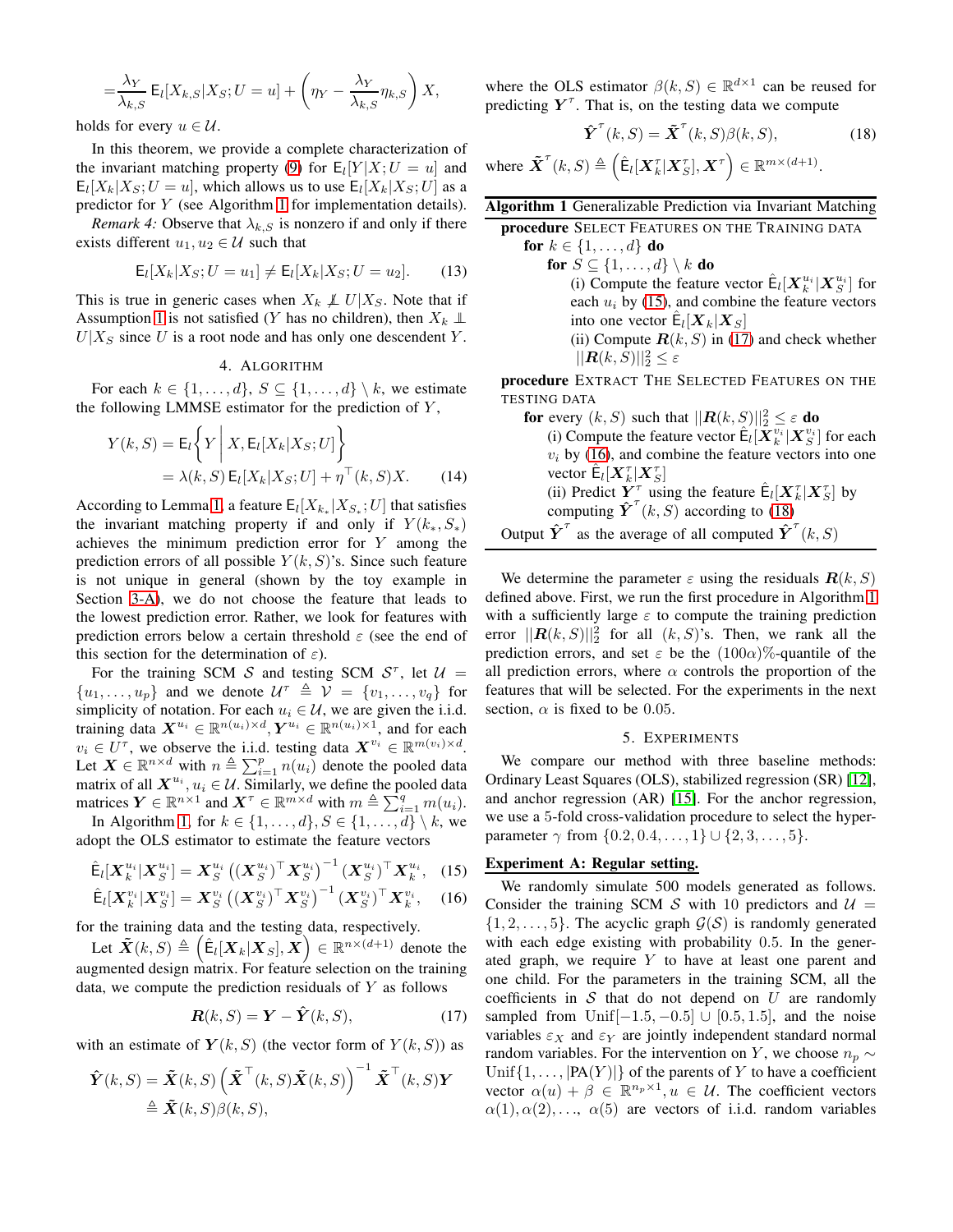$$
= \frac{\lambda_Y}{\lambda_{k,S}} \mathsf{E}_l[X_{k,S}|X_S; U = u] + \left(\eta_Y - \frac{\lambda_Y}{\lambda_{k,S}} \eta_{k,S}\right) X,
$$

holds for every  $u \in \mathcal{U}$ .

In this theorem, we provide a complete characterization of the invariant matching property [\(9\)](#page-2-2) for  $E_l[Y|X;U=u]$  and  $E_l[X_k|X_s; U = u]$ , which allows us to use  $E_l[X_k|X_s; U]$  as a predictor for Y (see Algorithm [1](#page-3-0) for implementation details).

*Remark 4:* Observe that  $\lambda_{k,S}$  is nonzero if and only if there exists different  $u_1, u_2 \in \mathcal{U}$  such that

$$
E_l[X_k|X_S; U = u_1] \neq E_l[X_k|X_S; U = u_2].
$$
 (13)

This is true in generic cases when  $X_k \not\perp U|X_S$ . Note that if Assumption [1](#page-2-6) is not satisfied (Y has no children), then  $X_k \perp \!\!\! \perp$  $U|X_{S}$  since U is a root node and has only one descendent Y.

## 4. ALGORITHM

For each  $k \in \{1, \ldots, d\}, S \subseteq \{1, \ldots, d\} \setminus k$ , we estimate the following LMMSE estimator for the prediction of  $Y$ ,

$$
Y(k, S) = \mathsf{E}_{l} \left\{ Y \middle| X, \mathsf{E}_{l}[X_{k}|X_{S}; U] \right\}
$$
  
=  $\lambda(k, S) \mathsf{E}_{l}[X_{k}|X_{S}; U] + \eta^{\top}(k, S)X.$  (14)

According to Lemma [1,](#page-2-7) a feature  $E_l[X_{k_*}|X_{S_*};U]$  that satisfies the invariant matching property if and only if  $Y(k_*, S_*)$ achieves the minimum prediction error for Y among the prediction errors of all possible  $Y(k, S)$ 's. Since such feature is not unique in general (shown by the toy example in Section [3-A\)](#page-1-2), we do not choose the feature that leads to the lowest prediction error. Rather, we look for features with prediction errors below a certain threshold  $\varepsilon$  (see the end of this section for the determination of  $\varepsilon$ ).

For the training SCM S and testing SCM  $S^{\tau}$ , let  $\mathcal{U} =$  $\{u_1, \ldots, u_p\}$  and we denote  $\mathcal{U}^{\tau} \triangleq \mathcal{V} = \{v_1, \ldots, v_q\}$  for simplicity of notation. For each  $u_i \in \mathcal{U}$ , we are given the i.i.d. training data  $X^{u_i} \in \mathbb{R}^{n(u_i)\times d}, Y^{u_i} \in \mathbb{R}^{n(u_i)\times 1}$ , and for each  $v_i \in U^{\tau}$ , we observe the i.i.d. testing data  $X^{v_i} \in \mathbb{R}^{m(v_i) \times d}$ . Let  $\mathbf{X} \in \mathbb{R}^{n \times d}$  with  $n \triangleq \sum_{i=1}^{p} n(u_i)$  denote the pooled data matrix of all  $X^{u_i}$ ,  $u_i \in \mathcal{U}$ . Similarly, we define the pooled data matrices  $\boldsymbol{Y} \in \mathbb{R}^{n \times 1}$  and  $\boldsymbol{X}^{\tau} \in \mathbb{R}^{m \times d}$  with  $m \triangleq \sum_{i=1}^{q} m(u_i)$ .

In Algorithm [1,](#page-3-0) for  $k \in \{1, \ldots, d\}, S \in \{1, \ldots, d\} \setminus k$ , we adopt the OLS estimator to estimate the feature vectors

$$
\hat{\mathsf{E}}_{l}[\boldsymbol{X}_{k}^{u_{i}}|\boldsymbol{X}_{S}^{u_{i}}] = \boldsymbol{X}_{S}^{u_{i}}\left((\boldsymbol{X}_{S}^{u_{i}})^{\top}\boldsymbol{X}_{S}^{u_{i}}\right)^{-1}(\boldsymbol{X}_{S}^{u_{i}})^{\top}\boldsymbol{X}_{k}^{u_{i}}, \quad (15)
$$

$$
\hat{\mathsf{E}}_l[\boldsymbol{X}_k^{v_i}|\boldsymbol{X}_S^{v_i}] = \boldsymbol{X}_S^{v_i} \left((\boldsymbol{X}_S^{v_i})^\top \boldsymbol{X}_S^{v_i}\right)^{-1} (\boldsymbol{X}_S^{v_i})^\top \boldsymbol{X}_k^{v_i}, \quad (16)
$$

for the training data and the testing data, respectively.

Let  $\tilde{\boldsymbol{X}}(k, S) \triangleq \left(\hat{\mathsf{E}}_l[\boldsymbol{X}_k|\boldsymbol{X}_S], \tilde{\boldsymbol{X}}\right) \in \mathbb{R}^{n \times (d+1)}$  denote the augmented design matrix. For feature selection on the training data, we compute the prediction residuals of  $Y$  as follows

$$
\mathbf{R}(k, S) = \mathbf{Y} - \hat{\mathbf{Y}}(k, S), \tag{17}
$$

with an estimate of  $Y(k, S)$  (the vector form of  $Y(k, S)$ ) as

$$
\hat{\boldsymbol{Y}}(k, S) = \tilde{\boldsymbol{X}}(k, S) \left( \tilde{\boldsymbol{X}}^{\top}(k, S) \tilde{\boldsymbol{X}}(k, S) \right)^{-1} \tilde{\boldsymbol{X}}^{\top}(k, S) \boldsymbol{Y} \newline \triangleq \tilde{\boldsymbol{X}}(k, S) \beta(k, S),
$$

where the OLS estimator  $\beta(k, S) \in \mathbb{R}^{d \times 1}$  can be reused for predicting  $Y^{\tau}$ . That is, on the testing data we compute

<span id="page-3-4"></span>
$$
\hat{\boldsymbol{Y}}^{\tau}(k, S) = \tilde{\boldsymbol{X}}^{\tau}(k, S) \beta(k, S), \qquad (18)
$$

where  $\tilde{\boldsymbol{X}}^{\tau}(k, S) \triangleq (\hat{\mathsf{E}}_l[\boldsymbol{X}_k^{\tau}|\boldsymbol{X}_S^{\tau}], \boldsymbol{X}^{\tau}) \in \mathbb{R}^{m \times (d+1)}$ .

<span id="page-3-0"></span>

| Algorithm 1 Generalizable Prediction via Invariant Matching                                                         |
|---------------------------------------------------------------------------------------------------------------------|
| procedure SELECT FEATURES ON THE TRAINING DATA                                                                      |
| for $k \in \{1, , d\}$ do                                                                                           |
| for $S \subseteq \{1, \ldots, d\} \setminus k$ do                                                                   |
| (i) Compute the feature vector $\hat{\mathsf{E}}_l[\mathbf{X}_k^{u_i} \mathbf{X}_S^{u_i}]$ for                      |
| each $u_i$ by (15), and combine the feature vectors                                                                 |
| into one vector $\hat{\mathsf{E}}_l[\boldsymbol{X}_k \boldsymbol{X}_S]$                                             |
| (ii) Compute $\mathbf{R}(k, S)$ in (17) and check whether                                                           |
| $  \mathbf{R}(k, S)  _2^2 \leq \varepsilon$                                                                         |
| procedure EXTRACT THE SELECTED FEATURES ON THE                                                                      |
| TESTING DATA                                                                                                        |
| for every $(k, S)$ such that $  \mathbf{R}(k, S)  _2^2 \leq \varepsilon$ do                                         |
| (i) Compute the feature vector $E_l[\boldsymbol{X}_k^{v_i} \boldsymbol{X}_S^{v_i}]$ for each                        |
| $v_i$ by (16), and combine the feature vectors into one                                                             |
| vector $E_l[\boldsymbol{X}_k^{\tau} \boldsymbol{X}_S^{\tau}]$                                                       |
| (ii) Predict $Y^{\tau}$ using the feature $E_l[X_k^{\tau} X_{S}^{\tau}]$ by                                         |
| computing $\hat{\boldsymbol{Y}}^{\text{T}}(k, S)$ according to (18)                                                 |
| Output $\hat{\boldsymbol{Y}}^{\mathrm{T}}$ as the average of all computed $\hat{\boldsymbol{Y}}^{\mathrm{T}}(k, S)$ |

We determine the parameter  $\varepsilon$  using the residuals  $\mathbf{R}(k, S)$ defined above. First, we run the first procedure in Algorithm [1](#page-3-0) with a sufficiently large  $\varepsilon$  to compute the training prediction error  $||\mathbf{R}(k, S)||_2^2$  for all  $(k, S)$ 's. Then, we rank all the prediction errors, and set  $\varepsilon$  be the  $(100\alpha)\%$ -quantile of the all prediction errors, where  $\alpha$  controls the proportion of the features that will be selected. For the experiments in the next section,  $\alpha$  is fixed to be 0.05.

### 5. EXPERIMENTS

We compare our method with three baseline methods: Ordinary Least Squares (OLS), stabilized regression (SR) [\[12\]](#page-4-6), and anchor regression (AR) [\[15\]](#page-4-9). For the anchor regression, we use a 5-fold cross-validation procedure to select the hyperparameter  $\gamma$  from  $\{0.2, 0.4, ..., 1\} \cup \{2, 3, ..., 5\}.$ 

## <span id="page-3-1"></span>Experiment A: Regular setting.

<span id="page-3-3"></span><span id="page-3-2"></span>We randomly simulate 500 models generated as follows. Consider the training SCM S with 10 predictors and  $U =$  $\{1, 2, \ldots, 5\}$ . The acyclic graph  $\mathcal{G}(\mathcal{S})$  is randomly generated with each edge existing with probability 0.5. In the generated graph, we require  $Y$  to have at least one parent and one child. For the parameters in the training SCM, all the coefficients in  $S$  that do not depend on  $U$  are randomly sampled from Unif $[-1.5, -0.5]$  ∪  $[0.5, 1.5]$ , and the noise variables  $\varepsilon_X$  and  $\varepsilon_Y$  are jointly independent standard normal random variables. For the intervention on Y, we choose  $n_p \sim$ Unif  $\{1, \ldots, |PA(Y)|\}$  of the parents of Y to have a coefficient vector  $\alpha(u) + \beta \in \mathbb{R}^{n_p \times 1}, u \in \mathcal{U}$ . The coefficient vectors  $\alpha(1), \alpha(2), \ldots, \alpha(5)$  are vectors of i.i.d. random variables